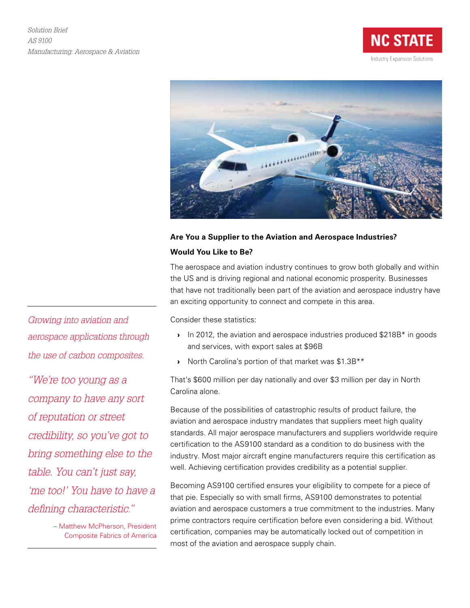



## **Are You a Supplier to the Aviation and Aerospace Industries? Would You Like to Be?**

The aerospace and aviation industry continues to grow both globally and within the US and is driving regional and national economic prosperity. Businesses that have not traditionally been part of the aviation and aerospace industry have an exciting opportunity to connect and compete in this area.

Consider these statistics:

- In 2012, the aviation and aerospace industries produced \$218B\* in goods and services, with export sales at \$96B
- › North Carolina's portion of that market was \$1.3B\*\*

That's \$600 million per day nationally and over \$3 million per day in North Carolina alone.

Because of the possibilities of catastrophic results of product failure, the aviation and aerospace industry mandates that suppliers meet high quality standards. All major aerospace manufacturers and suppliers worldwide require certification to the AS9100 standard as a condition to do business with the industry. Most major aircraft engine manufacturers require this certification as well. Achieving certification provides credibility as a potential supplier.

Becoming AS9100 certified ensures your eligibility to compete for a piece of that pie. Especially so with small firms, AS9100 demonstrates to potential aviation and aerospace customers a true commitment to the industries. Many prime contractors require certification before even considering a bid. Without certification, companies may be automatically locked out of competition in most of the aviation and aerospace supply chain.

*Growing into aviation and aerospace applications through the use of carbon composites.*

*"We're too young as a company to have any sort of reputation or street credibility, so you've got to bring something else to the table. You can't just say, 'me too!' You have to have a defining characteristic."*

> – Matthew McPherson, President Composite Fabrics of America